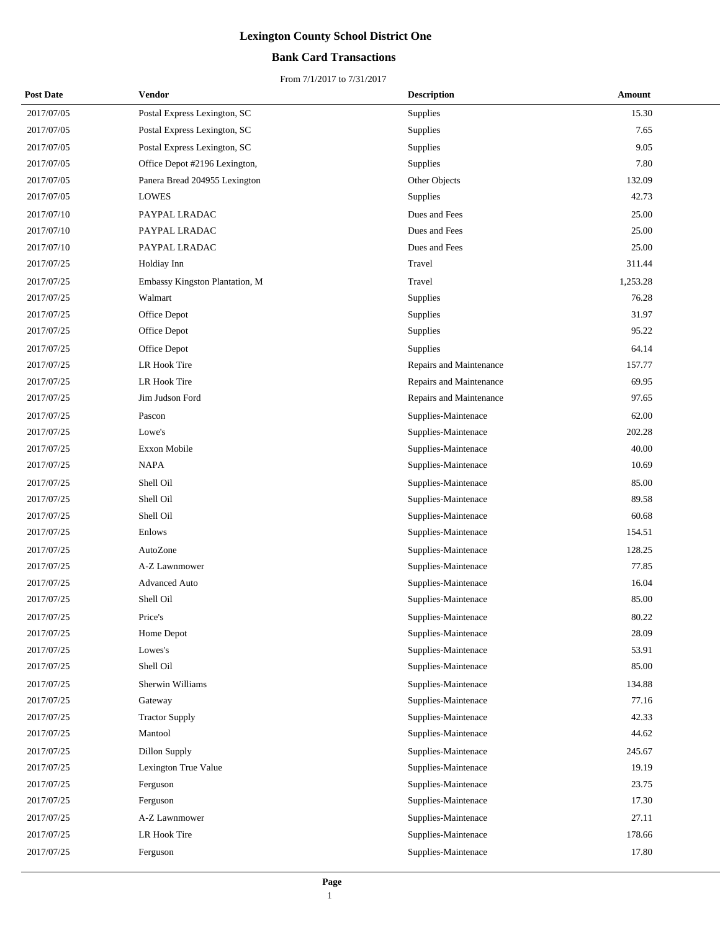## **Bank Card Transactions**

| <b>Post Date</b> | Vendor                         | <b>Description</b>      | Amount   |
|------------------|--------------------------------|-------------------------|----------|
| 2017/07/05       | Postal Express Lexington, SC   | Supplies                | 15.30    |
| 2017/07/05       | Postal Express Lexington, SC   | Supplies                | 7.65     |
| 2017/07/05       | Postal Express Lexington, SC   | <b>Supplies</b>         | 9.05     |
| 2017/07/05       | Office Depot #2196 Lexington,  | Supplies                | 7.80     |
| 2017/07/05       | Panera Bread 204955 Lexington  | Other Objects           | 132.09   |
| 2017/07/05       | <b>LOWES</b>                   | Supplies                | 42.73    |
| 2017/07/10       | PAYPAL LRADAC                  | Dues and Fees           | 25.00    |
| 2017/07/10       | PAYPAL LRADAC                  | Dues and Fees           | 25.00    |
| 2017/07/10       | PAYPAL LRADAC                  | Dues and Fees           | 25.00    |
| 2017/07/25       | Holdiay Inn                    | Travel                  | 311.44   |
| 2017/07/25       | Embassy Kingston Plantation, M | Travel                  | 1,253.28 |
| 2017/07/25       | Walmart                        | <b>Supplies</b>         | 76.28    |
| 2017/07/25       | Office Depot                   | <b>Supplies</b>         | 31.97    |
| 2017/07/25       | Office Depot                   | Supplies                | 95.22    |
| 2017/07/25       | Office Depot                   | Supplies                | 64.14    |
| 2017/07/25       | LR Hook Tire                   | Repairs and Maintenance | 157.77   |
| 2017/07/25       | LR Hook Tire                   | Repairs and Maintenance | 69.95    |
| 2017/07/25       | Jim Judson Ford                | Repairs and Maintenance | 97.65    |
| 2017/07/25       | Pascon                         | Supplies-Maintenace     | 62.00    |
| 2017/07/25       | Lowe's                         | Supplies-Maintenace     | 202.28   |
| 2017/07/25       | Exxon Mobile                   | Supplies-Maintenace     | 40.00    |
| 2017/07/25       | <b>NAPA</b>                    | Supplies-Maintenace     | 10.69    |
| 2017/07/25       | Shell Oil                      | Supplies-Maintenace     | 85.00    |
| 2017/07/25       | Shell Oil                      | Supplies-Maintenace     | 89.58    |
| 2017/07/25       | Shell Oil                      | Supplies-Maintenace     | 60.68    |
| 2017/07/25       | Enlows                         | Supplies-Maintenace     | 154.51   |
| 2017/07/25       | AutoZone                       | Supplies-Maintenace     | 128.25   |
| 2017/07/25       | A-Z Lawnmower                  | Supplies-Maintenace     | 77.85    |
| 2017/07/25       | <b>Advanced Auto</b>           | Supplies-Maintenace     | 16.04    |
| 2017/07/25       | Shell Oil                      | Supplies-Maintenace     | 85.00    |
| 2017/07/25       | Price's                        | Supplies-Maintenace     | 80.22    |
| 2017/07/25       | Home Depot                     | Supplies-Maintenace     | 28.09    |
| 2017/07/25       | Lowes's                        | Supplies-Maintenace     | 53.91    |
| 2017/07/25       | Shell Oil                      | Supplies-Maintenace     | 85.00    |
| 2017/07/25       | Sherwin Williams               | Supplies-Maintenace     | 134.88   |
| 2017/07/25       | Gateway                        | Supplies-Maintenace     | 77.16    |
| 2017/07/25       | <b>Tractor Supply</b>          | Supplies-Maintenace     | 42.33    |
| 2017/07/25       | Mantool                        | Supplies-Maintenace     | 44.62    |
| 2017/07/25       | Dillon Supply                  | Supplies-Maintenace     | 245.67   |
| 2017/07/25       | Lexington True Value           | Supplies-Maintenace     | 19.19    |
| 2017/07/25       | Ferguson                       | Supplies-Maintenace     | 23.75    |
| 2017/07/25       | Ferguson                       | Supplies-Maintenace     | 17.30    |
| 2017/07/25       | A-Z Lawnmower                  | Supplies-Maintenace     | 27.11    |
| 2017/07/25       | LR Hook Tire                   | Supplies-Maintenace     | 178.66   |
| 2017/07/25       | Ferguson                       | Supplies-Maintenace     | 17.80    |
|                  |                                |                         |          |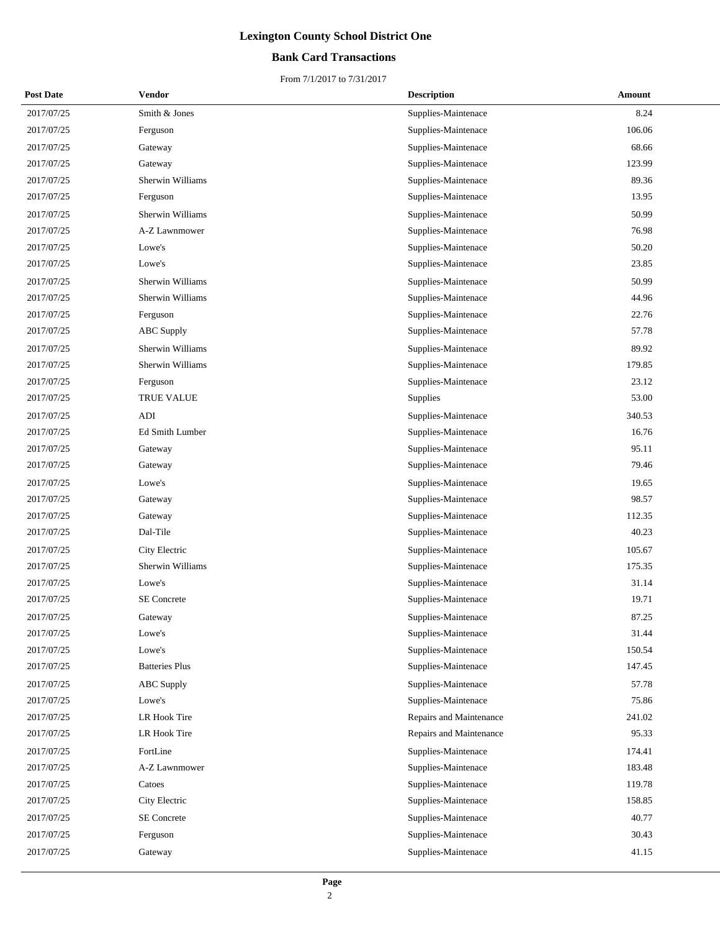## **Bank Card Transactions**

| <b>Post Date</b> | Vendor                 | <b>Description</b>      | Amount |
|------------------|------------------------|-------------------------|--------|
| 2017/07/25       | Smith & Jones          | Supplies-Maintenace     | 8.24   |
| 2017/07/25       | Ferguson               | Supplies-Maintenace     | 106.06 |
| 2017/07/25       | Gateway                | Supplies-Maintenace     | 68.66  |
| 2017/07/25       | Gateway                | Supplies-Maintenace     | 123.99 |
| 2017/07/25       | Sherwin Williams       | Supplies-Maintenace     | 89.36  |
| 2017/07/25       | Ferguson               | Supplies-Maintenace     | 13.95  |
| 2017/07/25       | Sherwin Williams       | Supplies-Maintenace     | 50.99  |
| 2017/07/25       | A-Z Lawnmower          | Supplies-Maintenace     | 76.98  |
| 2017/07/25       | Lowe's                 | Supplies-Maintenace     | 50.20  |
| 2017/07/25       | Lowe's                 | Supplies-Maintenace     | 23.85  |
| 2017/07/25       | Sherwin Williams       | Supplies-Maintenace     | 50.99  |
| 2017/07/25       | Sherwin Williams       | Supplies-Maintenace     | 44.96  |
| 2017/07/25       | Ferguson               | Supplies-Maintenace     | 22.76  |
| 2017/07/25       | <b>ABC</b> Supply      | Supplies-Maintenace     | 57.78  |
| 2017/07/25       | Sherwin Williams       | Supplies-Maintenace     | 89.92  |
| 2017/07/25       | Sherwin Williams       | Supplies-Maintenace     | 179.85 |
| 2017/07/25       | Ferguson               | Supplies-Maintenace     | 23.12  |
| 2017/07/25       | TRUE VALUE             | Supplies                | 53.00  |
| 2017/07/25       | ADI                    | Supplies-Maintenace     | 340.53 |
| 2017/07/25       | <b>Ed Smith Lumber</b> | Supplies-Maintenace     | 16.76  |
| 2017/07/25       | Gateway                | Supplies-Maintenace     | 95.11  |
| 2017/07/25       | Gateway                | Supplies-Maintenace     | 79.46  |
| 2017/07/25       | Lowe's                 | Supplies-Maintenace     | 19.65  |
| 2017/07/25       | Gateway                | Supplies-Maintenace     | 98.57  |
| 2017/07/25       | Gateway                | Supplies-Maintenace     | 112.35 |
| 2017/07/25       | Dal-Tile               | Supplies-Maintenace     | 40.23  |
| 2017/07/25       | City Electric          | Supplies-Maintenace     | 105.67 |
| 2017/07/25       | Sherwin Williams       | Supplies-Maintenace     | 175.35 |
| 2017/07/25       | Lowe's                 | Supplies-Maintenace     | 31.14  |
| 2017/07/25       | SE Concrete            | Supplies-Maintenace     | 19.71  |
| 2017/07/25       | Gateway                | Supplies-Maintenace     | 87.25  |
| 2017/07/25       | Lowe's                 | Supplies-Maintenace     | 31.44  |
| 2017/07/25       | Lowe's                 | Supplies-Maintenace     | 150.54 |
| 2017/07/25       | <b>Batteries Plus</b>  | Supplies-Maintenace     | 147.45 |
| 2017/07/25       | <b>ABC</b> Supply      | Supplies-Maintenace     | 57.78  |
| 2017/07/25       | Lowe's                 | Supplies-Maintenace     | 75.86  |
| 2017/07/25       | <b>LR Hook Tire</b>    | Repairs and Maintenance | 241.02 |
| 2017/07/25       | LR Hook Tire           | Repairs and Maintenance | 95.33  |
| 2017/07/25       | FortLine               | Supplies-Maintenace     | 174.41 |
| 2017/07/25       | A-Z Lawnmower          | Supplies-Maintenace     | 183.48 |
| 2017/07/25       | Catoes                 | Supplies-Maintenace     | 119.78 |
| 2017/07/25       | City Electric          | Supplies-Maintenace     | 158.85 |
| 2017/07/25       | <b>SE</b> Concrete     | Supplies-Maintenace     | 40.77  |
| 2017/07/25       | Ferguson               | Supplies-Maintenace     | 30.43  |
| 2017/07/25       | Gateway                | Supplies-Maintenace     | 41.15  |
|                  |                        |                         |        |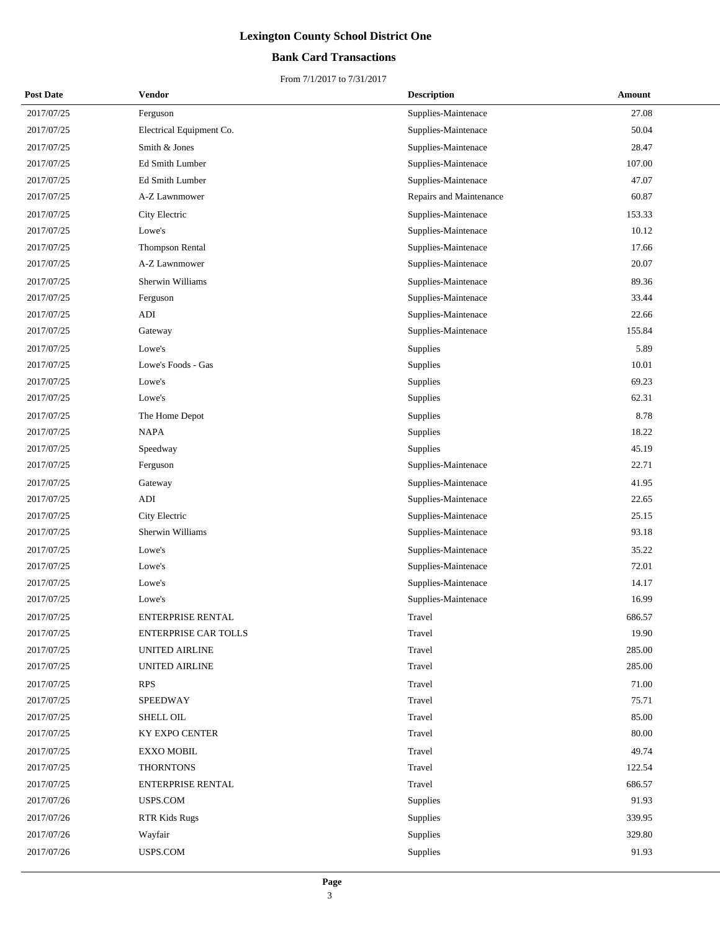## **Bank Card Transactions**

| <b>Post Date</b> | Vendor                      | <b>Description</b>      | Amount |
|------------------|-----------------------------|-------------------------|--------|
| 2017/07/25       | Ferguson                    | Supplies-Maintenace     | 27.08  |
| 2017/07/25       | Electrical Equipment Co.    | Supplies-Maintenace     | 50.04  |
| 2017/07/25       | Smith & Jones               | Supplies-Maintenace     | 28.47  |
| 2017/07/25       | Ed Smith Lumber             | Supplies-Maintenace     | 107.00 |
| 2017/07/25       | Ed Smith Lumber             | Supplies-Maintenace     | 47.07  |
| 2017/07/25       | A-Z Lawnmower               | Repairs and Maintenance | 60.87  |
| 2017/07/25       | City Electric               | Supplies-Maintenace     | 153.33 |
| 2017/07/25       | Lowe's                      | Supplies-Maintenace     | 10.12  |
| 2017/07/25       | Thompson Rental             | Supplies-Maintenace     | 17.66  |
| 2017/07/25       | A-Z Lawnmower               | Supplies-Maintenace     | 20.07  |
| 2017/07/25       | Sherwin Williams            | Supplies-Maintenace     | 89.36  |
| 2017/07/25       | Ferguson                    | Supplies-Maintenace     | 33.44  |
| 2017/07/25       | ADI                         | Supplies-Maintenace     | 22.66  |
| 2017/07/25       | Gateway                     | Supplies-Maintenace     | 155.84 |
| 2017/07/25       | Lowe's                      | Supplies                | 5.89   |
| 2017/07/25       | Lowe's Foods - Gas          | Supplies                | 10.01  |
| 2017/07/25       | Lowe's                      | Supplies                | 69.23  |
| 2017/07/25       | Lowe's                      | Supplies                | 62.31  |
| 2017/07/25       | The Home Depot              | Supplies                | 8.78   |
| 2017/07/25       | <b>NAPA</b>                 | Supplies                | 18.22  |
| 2017/07/25       | Speedway                    | Supplies                | 45.19  |
| 2017/07/25       | Ferguson                    | Supplies-Maintenace     | 22.71  |
| 2017/07/25       | Gateway                     | Supplies-Maintenace     | 41.95  |
| 2017/07/25       | ADI                         | Supplies-Maintenace     | 22.65  |
| 2017/07/25       | City Electric               | Supplies-Maintenace     | 25.15  |
| 2017/07/25       | Sherwin Williams            | Supplies-Maintenace     | 93.18  |
| 2017/07/25       | Lowe's                      | Supplies-Maintenace     | 35.22  |
| 2017/07/25       | Lowe's                      | Supplies-Maintenace     | 72.01  |
| 2017/07/25       | Lowe's                      | Supplies-Maintenace     | 14.17  |
| 2017/07/25       | Lowe's                      | Supplies-Maintenace     | 16.99  |
| 2017/07/25       | <b>ENTERPRISE RENTAL</b>    | Travel                  | 686.57 |
| 2017/07/25       | <b>ENTERPRISE CAR TOLLS</b> | Travel                  | 19.90  |
| 2017/07/25       | <b>UNITED AIRLINE</b>       | Travel                  | 285.00 |
| 2017/07/25       | <b>UNITED AIRLINE</b>       | Travel                  | 285.00 |
| 2017/07/25       | <b>RPS</b>                  | Travel                  | 71.00  |
| 2017/07/25       | SPEEDWAY                    | Travel                  | 75.71  |
| 2017/07/25       | SHELL OIL                   | Travel                  | 85.00  |
| 2017/07/25       | KY EXPO CENTER              | Travel                  | 80.00  |
| 2017/07/25       | <b>EXXO MOBIL</b>           | Travel                  | 49.74  |
| 2017/07/25       | <b>THORNTONS</b>            | Travel                  | 122.54 |
| 2017/07/25       | ENTERPRISE RENTAL           | Travel                  | 686.57 |
| 2017/07/26       | USPS.COM                    | Supplies                | 91.93  |
| 2017/07/26       | RTR Kids Rugs               | Supplies                | 339.95 |
| 2017/07/26       | Wayfair                     | Supplies                | 329.80 |
| 2017/07/26       | USPS.COM                    | Supplies                | 91.93  |
|                  |                             |                         |        |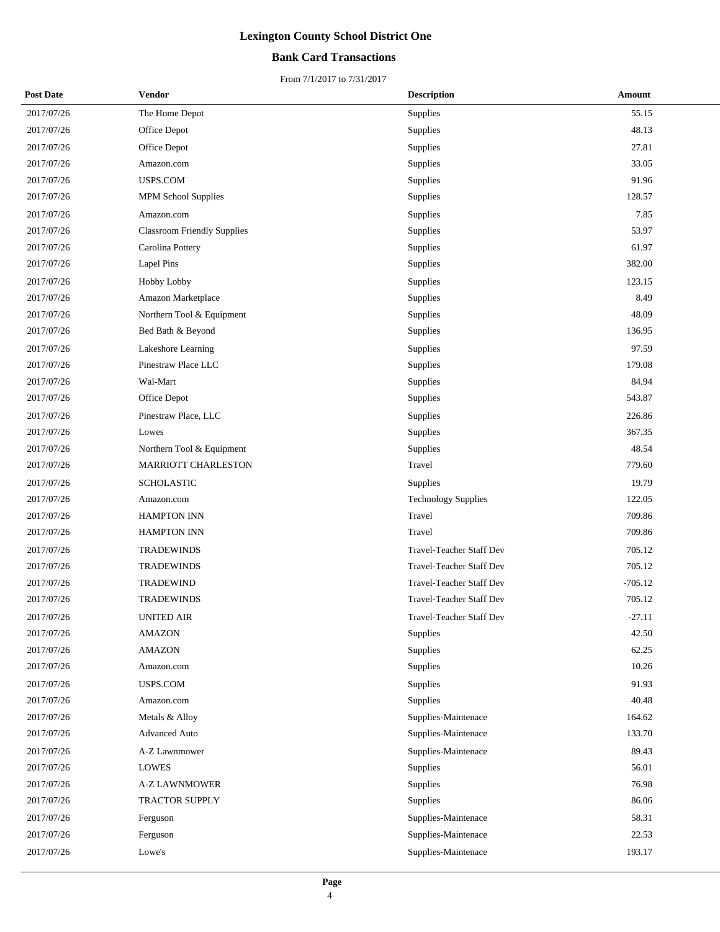## **Bank Card Transactions**

| <b>Post Date</b> | Vendor                             | <b>Description</b>         | Amount    |
|------------------|------------------------------------|----------------------------|-----------|
| 2017/07/26       | The Home Depot                     | Supplies                   | 55.15     |
| 2017/07/26       | Office Depot                       | Supplies                   | 48.13     |
| 2017/07/26       | Office Depot                       | Supplies                   | 27.81     |
| 2017/07/26       | Amazon.com                         | Supplies                   | 33.05     |
| 2017/07/26       | USPS.COM                           | Supplies                   | 91.96     |
| 2017/07/26       | <b>MPM School Supplies</b>         | Supplies                   | 128.57    |
| 2017/07/26       | Amazon.com                         | Supplies                   | 7.85      |
| 2017/07/26       | <b>Classroom Friendly Supplies</b> | Supplies                   | 53.97     |
| 2017/07/26       | Carolina Pottery                   | Supplies                   | 61.97     |
| 2017/07/26       | Lapel Pins                         | Supplies                   | 382.00    |
| 2017/07/26       | <b>Hobby Lobby</b>                 | Supplies                   | 123.15    |
| 2017/07/26       | Amazon Marketplace                 | Supplies                   | 8.49      |
| 2017/07/26       | Northern Tool & Equipment          | Supplies                   | 48.09     |
| 2017/07/26       | Bed Bath & Beyond                  | Supplies                   | 136.95    |
| 2017/07/26       | Lakeshore Learning                 | Supplies                   | 97.59     |
| 2017/07/26       | Pinestraw Place LLC                | Supplies                   | 179.08    |
| 2017/07/26       | Wal-Mart                           | Supplies                   | 84.94     |
| 2017/07/26       | Office Depot                       | Supplies                   | 543.87    |
| 2017/07/26       | Pinestraw Place, LLC               | Supplies                   | 226.86    |
| 2017/07/26       | Lowes                              | Supplies                   | 367.35    |
| 2017/07/26       | Northern Tool & Equipment          | Supplies                   | 48.54     |
| 2017/07/26       | <b>MARRIOTT CHARLESTON</b>         | Travel                     | 779.60    |
| 2017/07/26       | <b>SCHOLASTIC</b>                  | Supplies                   | 19.79     |
| 2017/07/26       | Amazon.com                         | <b>Technology Supplies</b> | 122.05    |
| 2017/07/26       | <b>HAMPTON INN</b>                 | Travel                     | 709.86    |
| 2017/07/26       | <b>HAMPTON INN</b>                 | Travel                     | 709.86    |
| 2017/07/26       | <b>TRADEWINDS</b>                  | Travel-Teacher Staff Dev   | 705.12    |
| 2017/07/26       | <b>TRADEWINDS</b>                  | Travel-Teacher Staff Dev   | 705.12    |
| 2017/07/26       | TRADEWIND                          | Travel-Teacher Staff Dev   | $-705.12$ |
| 2017/07/26       | <b>TRADEWINDS</b>                  | Travel-Teacher Staff Dev   | 705.12    |
| 2017/07/26       | <b>UNITED AIR</b>                  | Travel-Teacher Staff Dev   | $-27.11$  |
| 2017/07/26       | <b>AMAZON</b>                      | Supplies                   | 42.50     |
| 2017/07/26       | <b>AMAZON</b>                      | Supplies                   | 62.25     |
| 2017/07/26       | Amazon.com                         | Supplies                   | 10.26     |
| 2017/07/26       | USPS.COM                           | Supplies                   | 91.93     |
| 2017/07/26       | Amazon.com                         | Supplies                   | 40.48     |
| 2017/07/26       | Metals & Alloy                     | Supplies-Maintenace        | 164.62    |
| 2017/07/26       | <b>Advanced Auto</b>               | Supplies-Maintenace        | 133.70    |
| 2017/07/26       | A-Z Lawnmower                      | Supplies-Maintenace        | 89.43     |
| 2017/07/26       | <b>LOWES</b>                       | Supplies                   | 56.01     |
| 2017/07/26       | <b>A-Z LAWNMOWER</b>               | Supplies                   | 76.98     |
| 2017/07/26       | TRACTOR SUPPLY                     | Supplies                   | 86.06     |
| 2017/07/26       | Ferguson                           | Supplies-Maintenace        | 58.31     |
| 2017/07/26       | Ferguson                           | Supplies-Maintenace        | 22.53     |
| 2017/07/26       | Lowe's                             | Supplies-Maintenace        | 193.17    |
|                  |                                    |                            |           |